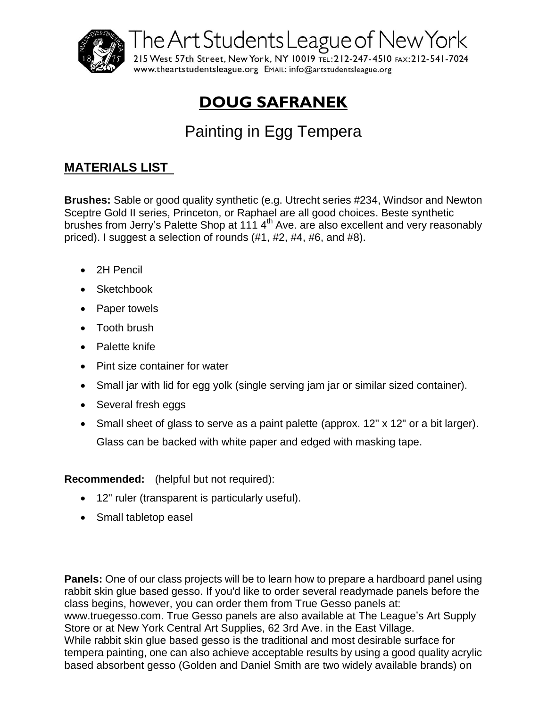

The Art Students League of New York

215 West 57th Street, New York, NY 10019 TEL: 212-247-4510 FAX: 212-541-7024 WWW.theartstudentsleague.org EMAIL: info@artstudentsleague.org

## **DOUG SAFRANEK**

## Painting in Egg Tempera

## **MATERIALS LIST**

**Brushes:** Sable or good quality synthetic (e.g. Utrecht series #234, Windsor and Newton Sceptre Gold II series, Princeton, or Raphael are all good choices. Beste synthetic brushes from Jerry's Palette Shop at 111 4<sup>th</sup> Ave. are also excellent and very reasonably priced). I suggest a selection of rounds (#1, #2, #4, #6, and #8).

- 2H Pencil
- Sketchbook
- Paper towels
- Tooth brush
- Palette knife
- Pint size container for water
- Small jar with lid for egg yolk (single serving jam jar or similar sized container).
- Several fresh eggs
- Small sheet of glass to serve as a paint palette (approx. 12" x 12" or a bit larger). Glass can be backed with white paper and edged with masking tape.

## **Recommended:** (helpful but not required):

- 12" ruler (transparent is particularly useful).
- Small tabletop easel

**Panels:** One of our class projects will be to learn how to prepare a hardboard panel using rabbit skin glue based gesso. If you'd like to order several readymade panels before the class begins, however, you can order them from True Gesso panels at: www.truegesso.com. True Gesso panels are also available at The League's Art Supply Store or at New York Central Art Supplies, 62 3rd Ave. in the East Village. While rabbit skin glue based gesso is the traditional and most desirable surface for tempera painting, one can also achieve acceptable results by using a good quality acrylic based absorbent gesso (Golden and Daniel Smith are two widely available brands) on